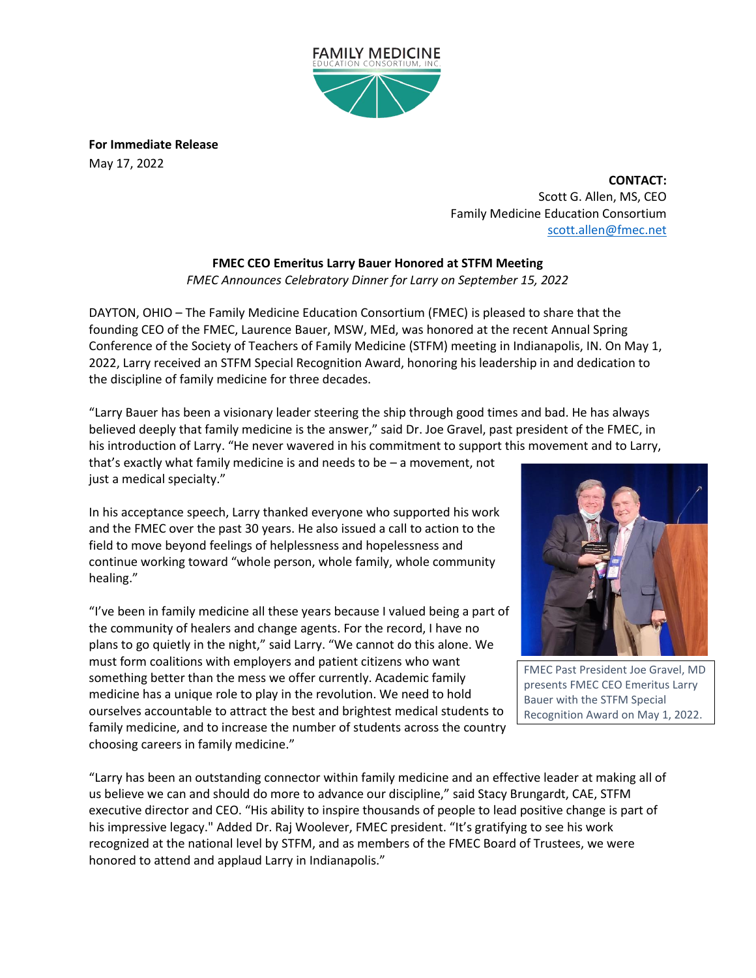

**For Immediate Release** May 17, 2022

> **CONTACT:** Scott G. Allen, MS, CEO Family Medicine Education Consortium [scott.allen@fmec.net](mailto:scott.allen@fmec.net)

**FMEC CEO Emeritus Larry Bauer Honored at STFM Meeting** *FMEC Announces Celebratory Dinner for Larry on September 15, 2022*

DAYTON, OHIO – The Family Medicine Education Consortium (FMEC) is pleased to share that the founding CEO of the FMEC, Laurence Bauer, MSW, MEd, was honored at the recent Annual Spring Conference of the Society of Teachers of Family Medicine (STFM) meeting in Indianapolis, IN. On May 1, 2022, Larry received an STFM Special Recognition Award, honoring his leadership in and dedication to the discipline of family medicine for three decades.

"Larry Bauer has been a visionary leader steering the ship through good times and bad. He has always believed deeply that family medicine is the answer," said Dr. Joe Gravel, past president of the FMEC, in his introduction of Larry. "He never wavered in his commitment to support this movement and to Larry, that's exactly what family medicine is and needs to be – a movement, not just a medical specialty."

In his acceptance speech, Larry thanked everyone who supported his work and the FMEC over the past 30 years. He also issued a call to action to the field to move beyond feelings of helplessness and hopelessness and continue working toward "whole person, whole family, whole community healing."

"I've been in family medicine all these years because I valued being a part of the community of healers and change agents. For the record, I have no plans to go quietly in the night," said Larry. "We cannot do this alone. We must form coalitions with employers and patient citizens who want something better than the mess we offer currently. Academic family medicine has a unique role to play in the revolution. We need to hold ourselves accountable to attract the best and brightest medical students to family medicine, and to increase the number of students across the country choosing careers in family medicine."



FMEC Past President Joe Gravel, MD presents FMEC CEO Emeritus Larry Bauer with the STFM Special Recognition Award on May 1, 2022.

"Larry has been an outstanding connector within family medicine and an effective leader at making all of us believe we can and should do more to advance our discipline," said Stacy Brungardt, CAE, STFM executive director and CEO. "His ability to inspire thousands of people to lead positive change is part of his impressive legacy." Added Dr. Raj Woolever, FMEC president. "It's gratifying to see his work recognized at the national level by STFM, and as members of the FMEC Board of Trustees, we were honored to attend and applaud Larry in Indianapolis."